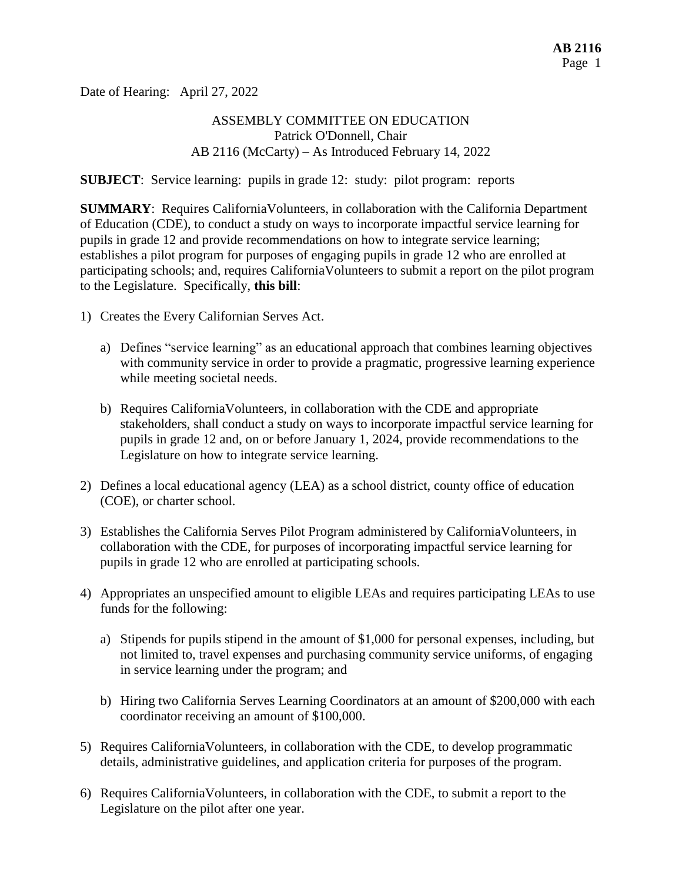Date of Hearing: April 27, 2022

## ASSEMBLY COMMITTEE ON EDUCATION Patrick O'Donnell, Chair AB 2116 (McCarty) – As Introduced February 14, 2022

**SUBJECT**: Service learning: pupils in grade 12: study: pilot program: reports

**SUMMARY**: Requires CaliforniaVolunteers, in collaboration with the California Department of Education (CDE), to conduct a study on ways to incorporate impactful service learning for pupils in grade 12 and provide recommendations on how to integrate service learning; establishes a pilot program for purposes of engaging pupils in grade 12 who are enrolled at participating schools; and, requires CaliforniaVolunteers to submit a report on the pilot program to the Legislature. Specifically, **this bill**:

- 1) Creates the Every Californian Serves Act.
	- a) Defines "service learning" as an educational approach that combines learning objectives with community service in order to provide a pragmatic, progressive learning experience while meeting societal needs.
	- b) Requires CaliforniaVolunteers, in collaboration with the CDE and appropriate stakeholders, shall conduct a study on ways to incorporate impactful service learning for pupils in grade 12 and, on or before January 1, 2024, provide recommendations to the Legislature on how to integrate service learning.
- 2) Defines a local educational agency (LEA) as a school district, county office of education (COE), or charter school.
- 3) Establishes the California Serves Pilot Program administered by CaliforniaVolunteers, in collaboration with the CDE, for purposes of incorporating impactful service learning for pupils in grade 12 who are enrolled at participating schools.
- 4) Appropriates an unspecified amount to eligible LEAs and requires participating LEAs to use funds for the following:
	- a) Stipends for pupils stipend in the amount of \$1,000 for personal expenses, including, but not limited to, travel expenses and purchasing community service uniforms, of engaging in service learning under the program; and
	- b) Hiring two California Serves Learning Coordinators at an amount of \$200,000 with each coordinator receiving an amount of \$100,000.
- 5) Requires CaliforniaVolunteers, in collaboration with the CDE, to develop programmatic details, administrative guidelines, and application criteria for purposes of the program.
- 6) Requires CaliforniaVolunteers, in collaboration with the CDE, to submit a report to the Legislature on the pilot after one year.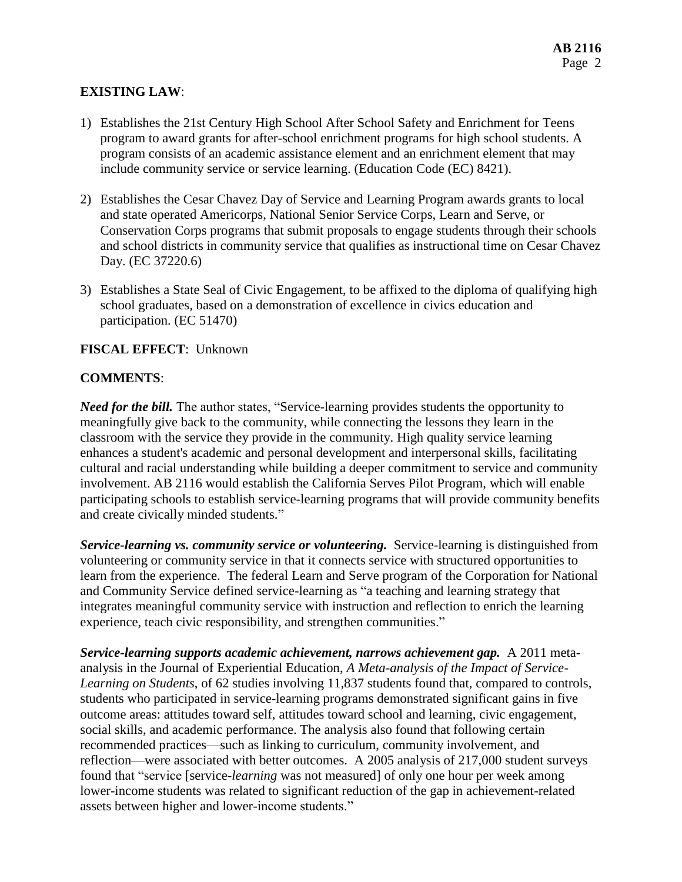# **EXISTING LAW**:

- 1) Establishes the 21st Century High School After School Safety and Enrichment for Teens program to award grants for after-school enrichment programs for high school students. A program consists of an academic assistance element and an enrichment element that may include community service or service learning. (Education Code (EC) 8421).
- 2) Establishes the Cesar Chavez Day of Service and Learning Program awards grants to local and state operated Americorps, National Senior Service Corps, Learn and Serve, or Conservation Corps programs that submit proposals to engage students through their schools and school districts in community service that qualifies as instructional time on Cesar Chavez Day. (EC 37220.6)
- 3) Establishes a State Seal of Civic Engagement, to be affixed to the diploma of qualifying high school graduates, based on a demonstration of excellence in civics education and participation. (EC 51470)

#### **FISCAL EFFECT**: Unknown

#### **COMMENTS**:

*Need for the bill.* The author states, "Service-learning provides students the opportunity to meaningfully give back to the community, while connecting the lessons they learn in the classroom with the service they provide in the community. High quality service learning enhances a student's academic and personal development and interpersonal skills, facilitating cultural and racial understanding while building a deeper commitment to service and community involvement. AB 2116 would establish the California Serves Pilot Program, which will enable participating schools to establish service-learning programs that will provide community benefits and create civically minded students."

*Service-learning vs. community service or volunteering.* Service-learning is distinguished from volunteering or community service in that it connects service with structured opportunities to learn from the experience. The federal Learn and Serve program of the Corporation for National and Community Service defined service-learning as "a teaching and learning strategy that integrates meaningful community service with instruction and reflection to enrich the learning experience, teach civic responsibility, and strengthen communities."

*Service-learning supports academic achievement, narrows achievement gap.* A 2011 metaanalysis in the Journal of Experiential Education, *A Meta-analysis of the Impact of Service-Learning on Students*, of 62 studies involving 11,837 students found that, compared to controls, students who participated in service-learning programs demonstrated significant gains in five outcome areas: attitudes toward self, attitudes toward school and learning, civic engagement, social skills, and academic performance. The analysis also found that following certain recommended practices—such as linking to curriculum, community involvement, and reflection—were associated with better outcomes. A 2005 analysis of 217,000 student surveys found that "service [service-*learning* was not measured] of only one hour per week among lower-income students was related to significant reduction of the gap in achievement-related assets between higher and lower-income students."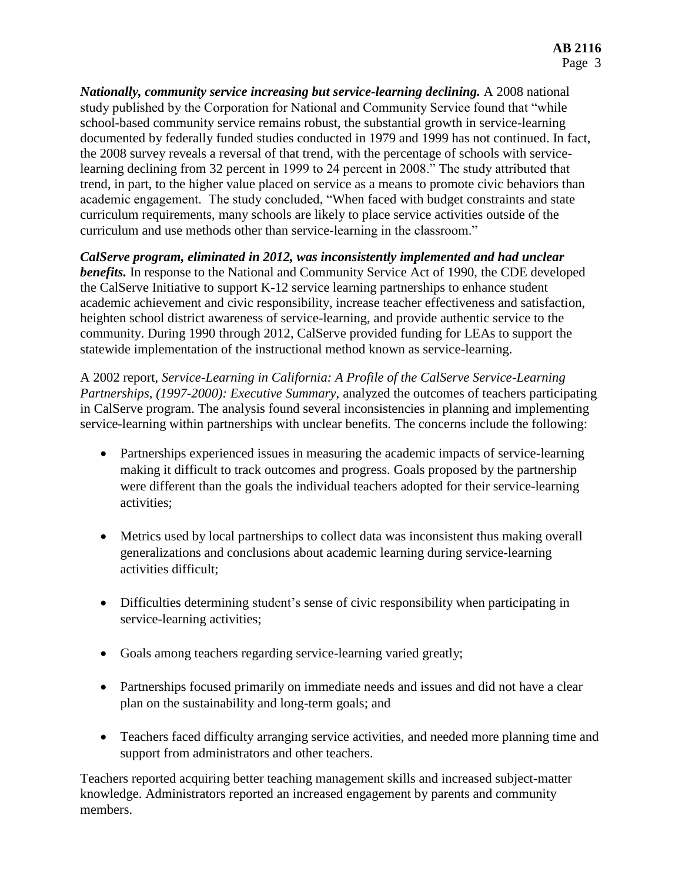*Nationally, community service increasing but service-learning declining.* A 2008 national study published by the Corporation for National and Community Service found that "while school-based community service remains robust, the substantial growth in service-learning documented by federally funded studies conducted in 1979 and 1999 has not continued. In fact, the 2008 survey reveals a reversal of that trend, with the percentage of schools with servicelearning declining from 32 percent in 1999 to 24 percent in 2008." The study attributed that trend, in part, to the higher value placed on service as a means to promote civic behaviors than academic engagement. The study concluded, "When faced with budget constraints and state curriculum requirements, many schools are likely to place service activities outside of the curriculum and use methods other than service-learning in the classroom."

*CalServe program, eliminated in 2012, was inconsistently implemented and had unclear benefits.* In response to the National and Community Service Act of 1990, the CDE developed the CalServe Initiative to support K-12 service learning partnerships to enhance student academic achievement and civic responsibility, increase teacher effectiveness and satisfaction, heighten school district awareness of service-learning, and provide authentic service to the community. During 1990 through 2012, CalServe provided funding for LEAs to support the statewide implementation of the instructional method known as service-learning.

A 2002 report, *Service-Learning in California: A Profile of the CalServe Service-Learning Partnerships, (1997-2000): Executive Summary,* analyzed the outcomes of teachers participating in CalServe program. The analysis found several inconsistencies in planning and implementing service-learning within partnerships with unclear benefits. The concerns include the following:

- Partnerships experienced issues in measuring the academic impacts of service-learning making it difficult to track outcomes and progress. Goals proposed by the partnership were different than the goals the individual teachers adopted for their service-learning activities;
- Metrics used by local partnerships to collect data was inconsistent thus making overall generalizations and conclusions about academic learning during service-learning activities difficult;
- Difficulties determining student's sense of civic responsibility when participating in service-learning activities;
- Goals among teachers regarding service-learning varied greatly;
- Partnerships focused primarily on immediate needs and issues and did not have a clear plan on the sustainability and long-term goals; and
- Teachers faced difficulty arranging service activities, and needed more planning time and support from administrators and other teachers.

Teachers reported acquiring better teaching management skills and increased subject-matter knowledge. Administrators reported an increased engagement by parents and community members.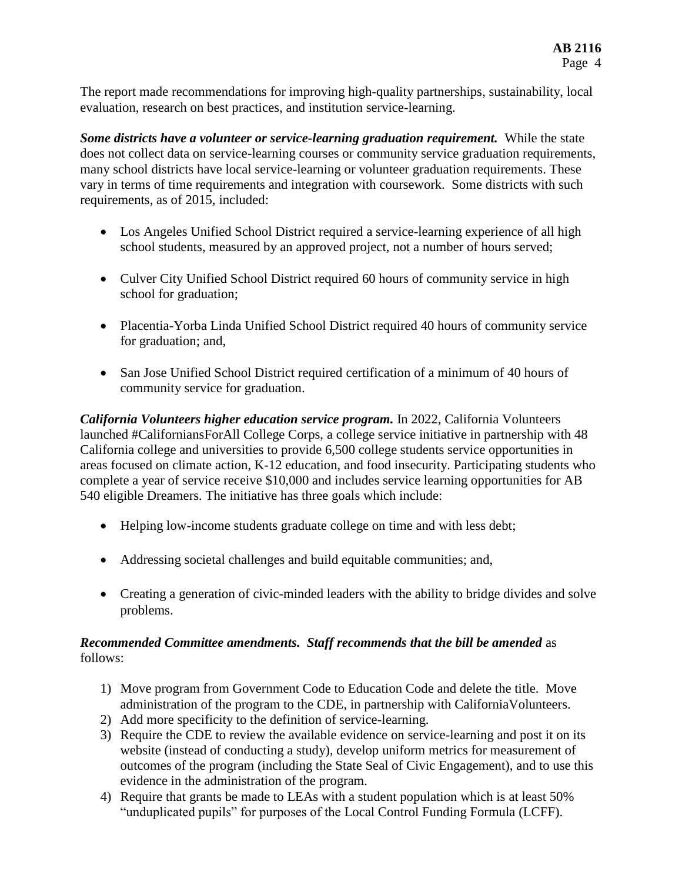The report made recommendations for improving high-quality partnerships, sustainability, local evaluation, research on best practices, and institution service-learning.

*Some districts have a volunteer or service-learning graduation requirement.* While the state does not collect data on service-learning courses or community service graduation requirements, many school districts have local service-learning or volunteer graduation requirements. These vary in terms of time requirements and integration with coursework. Some districts with such requirements, as of 2015, included:

- Los Angeles Unified School District required a service-learning experience of all high school students, measured by an approved project, not a number of hours served;
- Culver City Unified School District required 60 hours of community service in high school for graduation;
- Placentia-Yorba Linda Unified School District required 40 hours of community service for graduation; and,
- San Jose Unified School District required certification of a minimum of 40 hours of community service for graduation.

*California Volunteers higher education service program.* In 2022, California Volunteers launched #CaliforniansForAll College Corps, a college service initiative in partnership with 48 California college and universities to provide 6,500 college students service opportunities in areas focused on climate action, K-12 education, and food insecurity. Participating students who complete a year of service receive \$10,000 and includes service learning opportunities for AB 540 eligible Dreamers. The initiative has three goals which include:

- Helping low-income students graduate college on time and with less debt;
- Addressing societal challenges and build equitable communities; and,
- Creating a generation of civic-minded leaders with the ability to bridge divides and solve problems.

## *Recommended Committee amendments. Staff recommends that the bill be amended* as follows:

- 1) Move program from Government Code to Education Code and delete the title. Move administration of the program to the CDE, in partnership with CaliforniaVolunteers.
- 2) Add more specificity to the definition of service-learning.
- 3) Require the CDE to review the available evidence on service-learning and post it on its website (instead of conducting a study), develop uniform metrics for measurement of outcomes of the program (including the State Seal of Civic Engagement), and to use this evidence in the administration of the program.
- 4) Require that grants be made to LEAs with a student population which is at least 50% "unduplicated pupils" for purposes of the Local Control Funding Formula (LCFF).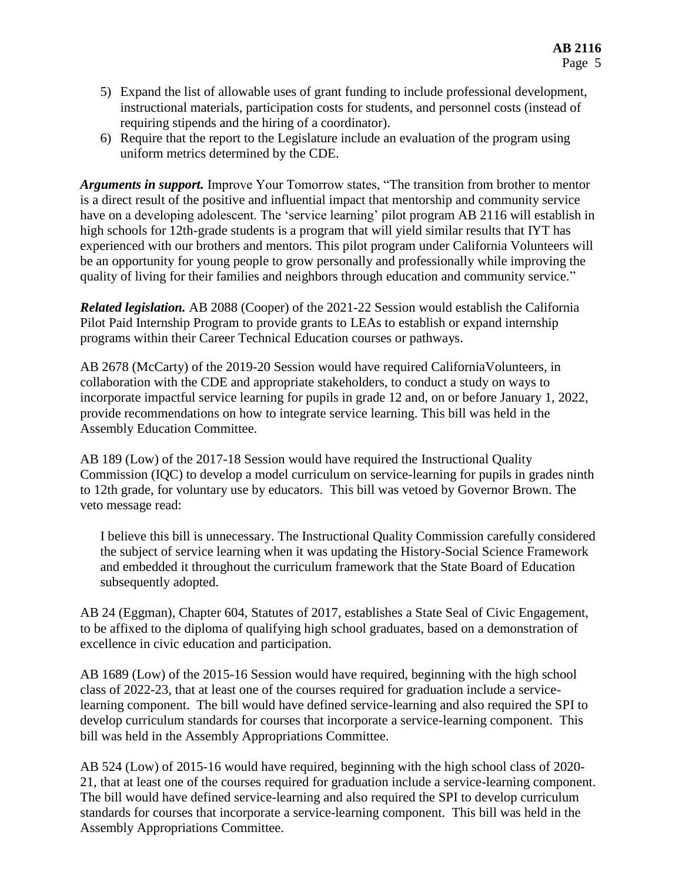- 5) Expand the list of allowable uses of grant funding to include professional development, instructional materials, participation costs for students, and personnel costs (instead of requiring stipends and the hiring of a coordinator).
- 6) Require that the report to the Legislature include an evaluation of the program using uniform metrics determined by the CDE.

*Arguments in support.* Improve Your Tomorrow states, "The transition from brother to mentor is a direct result of the positive and influential impact that mentorship and community service have on a developing adolescent. The 'service learning' pilot program AB 2116 will establish in high schools for 12th-grade students is a program that will yield similar results that IYT has experienced with our brothers and mentors. This pilot program under California Volunteers will be an opportunity for young people to grow personally and professionally while improving the quality of living for their families and neighbors through education and community service."

*Related legislation.* AB 2088 (Cooper) of the 2021-22 Session would establish the California Pilot Paid Internship Program to provide grants to LEAs to establish or expand internship programs within their Career Technical Education courses or pathways.

AB 2678 (McCarty) of the 2019-20 Session would have required CaliforniaVolunteers, in collaboration with the CDE and appropriate stakeholders, to conduct a study on ways to incorporate impactful service learning for pupils in grade 12 and, on or before January 1, 2022, provide recommendations on how to integrate service learning. This bill was held in the Assembly Education Committee.

AB 189 (Low) of the 2017-18 Session would have required the Instructional Quality Commission (IQC) to develop a model curriculum on service-learning for pupils in grades ninth to 12th grade, for voluntary use by educators. This bill was vetoed by Governor Brown. The veto message read:

I believe this bill is unnecessary. The Instructional Quality Commission carefully considered the subject of service learning when it was updating the History-Social Science Framework and embedded it throughout the curriculum framework that the State Board of Education subsequently adopted.

AB 24 (Eggman), Chapter 604, Statutes of 2017, establishes a State Seal of Civic Engagement, to be affixed to the diploma of qualifying high school graduates, based on a demonstration of excellence in civic education and participation.

AB 1689 (Low) of the 2015-16 Session would have required, beginning with the high school class of 2022-23, that at least one of the courses required for graduation include a servicelearning component. The bill would have defined service-learning and also required the SPI to develop curriculum standards for courses that incorporate a service-learning component. This bill was held in the Assembly Appropriations Committee.

AB 524 (Low) of 2015-16 would have required, beginning with the high school class of 2020- 21, that at least one of the courses required for graduation include a service-learning component. The bill would have defined service-learning and also required the SPI to develop curriculum standards for courses that incorporate a service-learning component. This bill was held in the Assembly Appropriations Committee.